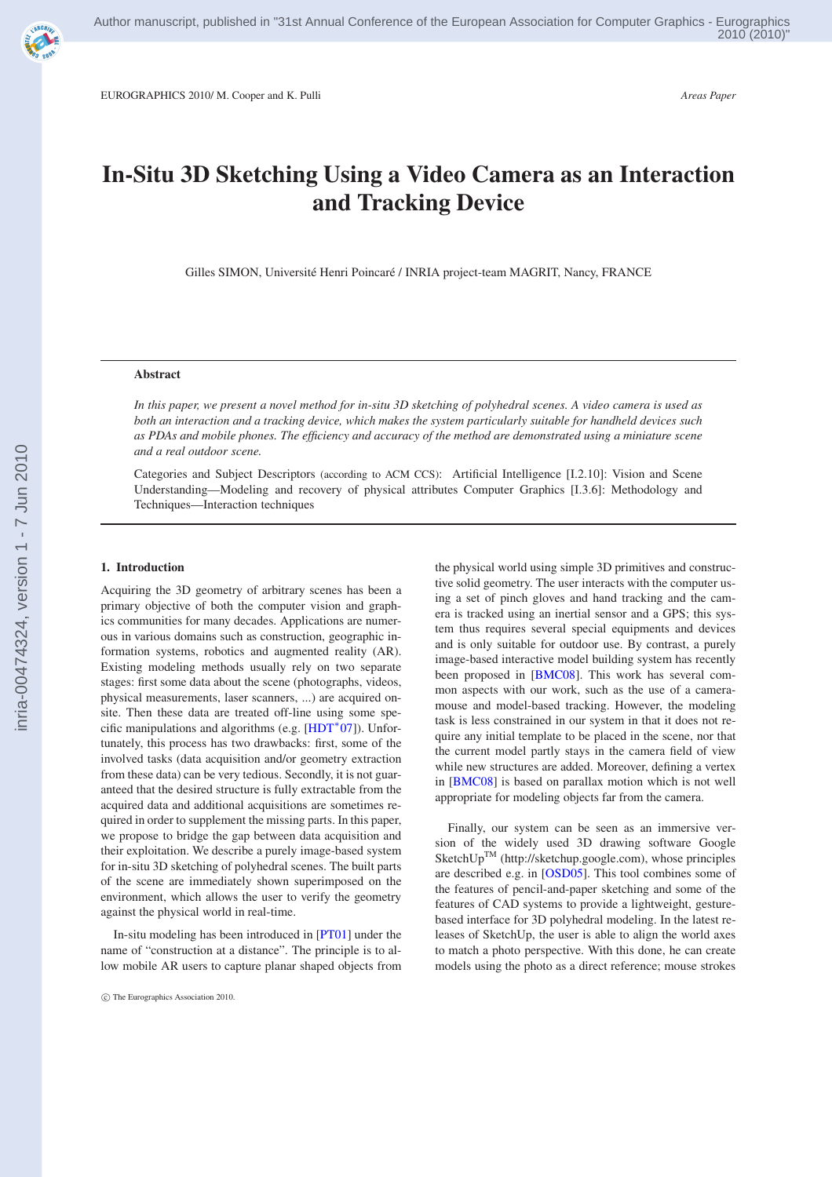

EUROGRAPHICS 2010/ M. Cooper and K. Pulli *Areas Paper*

# **In-Situ 3D Sketching Using a Video Camera as an Interaction and Tracking Device**

Gilles SIMON, Université Henri Poincaré / INRIA project-team MAGRIT, Nancy, FRANCE

### **Abstract**

*In this paper, we present a novel method for in-situ 3D sketching of polyhedral scenes. A video camera is used as both an interaction and a tracking device, which makes the system particularly suitable for handheld devices such as PDAs and mobile phones. The efficiency and accuracy of the method are demonstrated using a miniature scene and a real outdoor scene.*

Categories and Subject Descriptors (according to ACM CCS): Artificial Intelligence [I.2.10]: Vision and Scene Understanding—Modeling and recovery of physical attributes Computer Graphics [I.3.6]: Methodology and Techniques—Interaction techniques

### **1. Introduction**

Acquiring the 3D geometry of arbitrary scenes has been a primary objective of both the computer vision and graphics communities for many decades. Applications are numerous in various domains such as construction, geographic information systems, robotics and augmented reality (AR). Existing modeling methods usually rely on two separate stages: first some data about the scene (photographs, videos, physical measurements, laser scanners, ...) are acquired onsite. Then these data are treated off-line using some specific manipulations and algorithms (e.g. [\[HDT](#page-3-0)<sup>∗</sup> 07]). Unfortunately, this process has two drawbacks: first, some of the involved tasks (data acquisition and/or geometry extraction from these data) can be very tedious. Secondly, it is not guaranteed that the desired structure is fully extractable from the acquired data and additional acquisitions are sometimes required in order to supplement the missing parts. In this paper, we propose to bridge the gap between data acquisition and their exploitation. We describe a purely image-based system for in-situ 3D sketching of polyhedral scenes. The built parts of the scene are immediately shown superimposed on the environment, which allows the user to verify the geometry against the physical world in real-time.

In-situ modeling has been introduced in [\[PT01\]](#page-3-0) under the name of "construction at a distance". The principle is to allow mobile AR users to capture planar shaped objects from the physical world using simple 3D primitives and constructive solid geometry. The user interacts with the computer using a set of pinch gloves and hand tracking and the camera is tracked using an inertial sensor and a GPS; this system thus requires several special equipments and devices and is only suitable for outdoor use. By contrast, a purely image-based interactive model building system has recently been proposed in [\[BMC08\]](#page-3-0). This work has several common aspects with our work, such as the use of a cameramouse and model-based tracking. However, the modeling task is less constrained in our system in that it does not require any initial template to be placed in the scene, nor that the current model partly stays in the camera field of view while new structures are added. Moreover, defining a vertex in [\[BMC08\]](#page-3-0) is based on parallax motion which is not well appropriate for modeling objects far from the camera.

Finally, our system can be seen as an immersive version of the widely used 3D drawing software Google SketchUpTM (http://sketchup.google.com), whose principles are described e.g. in [\[OSD05\]](#page-3-0). This tool combines some of the features of pencil-and-paper sketching and some of the features of CAD systems to provide a lightweight, gesturebased interface for 3D polyhedral modeling. In the latest releases of SketchUp, the user is able to align the world axes to match a photo perspective. With this done, he can create models using the photo as a direct reference; mouse strokes

c The Eurographics Association 2010.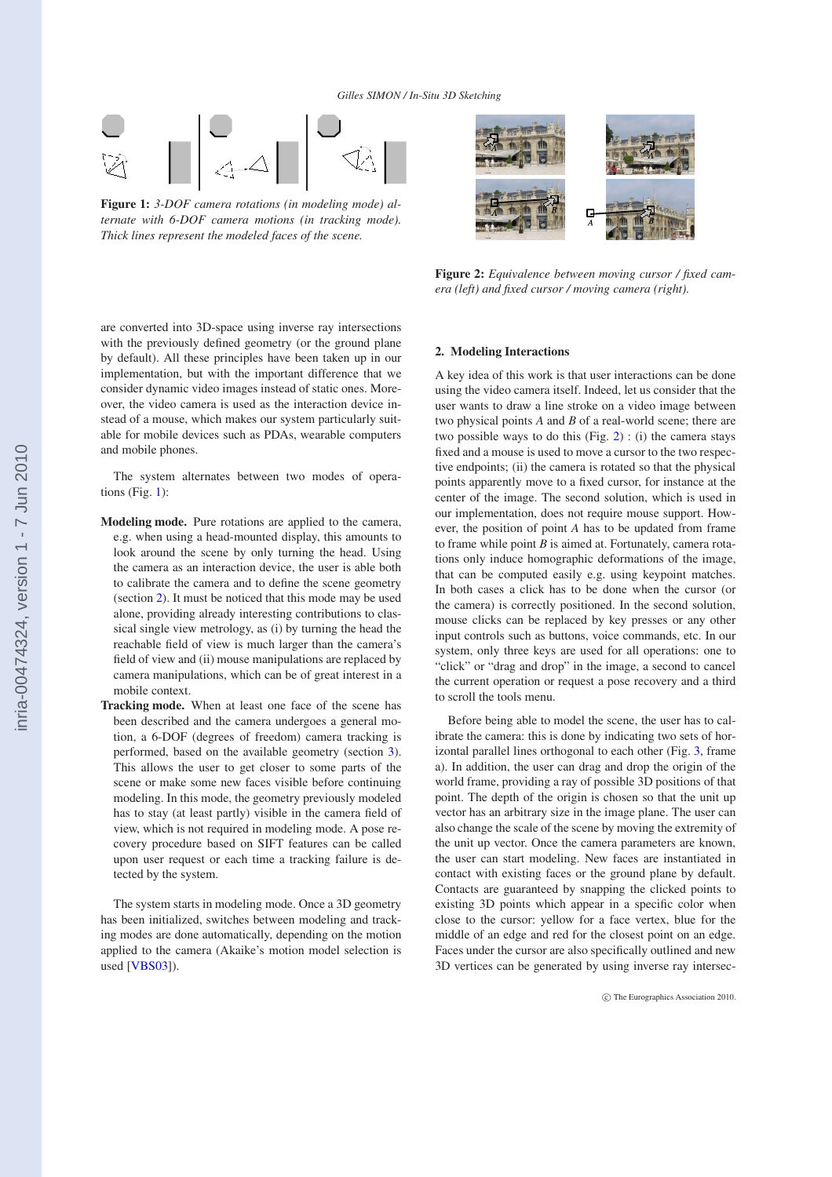

**Figure 1:** *3-DOF camera rotations (in modeling mode) alternate with 6-DOF camera motions (in tracking mode). Thick lines represent the modeled faces of the scene.*



**Figure 2:** *Equivalence between moving cursor / fixed camera (left) and fixed cursor / moving camera (right).*

are converted into 3D-space using inverse ray intersections with the previously defined geometry (or the ground plane by default). All these principles have been taken up in our implementation, but with the important difference that we consider dynamic video images instead of static ones. Moreover, the video camera is used as the interaction device instead of a mouse, which makes our system particularly suitable for mobile devices such as PDAs, wearable computers and mobile phones.

The system alternates between two modes of operations (Fig. 1):

- **Modeling mode.** Pure rotations are applied to the camera, e.g. when using a head-mounted display, this amounts to look around the scene by only turning the head. Using the camera as an interaction device, the user is able both to calibrate the camera and to define the scene geometry (section 2). It must be noticed that this mode may be used alone, providing already interesting contributions to classical single view metrology, as (i) by turning the head the reachable field of view is much larger than the camera's field of view and (ii) mouse manipulations are replaced by camera manipulations, which can be of great interest in a mobile context.
- **Tracking mode.** When at least one face of the scene has been described and the camera undergoes a general motion, a 6-DOF (degrees of freedom) camera tracking is performed, based on the available geometry (section [3\)](#page-2-0). This allows the user to get closer to some parts of the scene or make some new faces visible before continuing modeling. In this mode, the geometry previously modeled has to stay (at least partly) visible in the camera field of view, which is not required in modeling mode. A pose recovery procedure based on SIFT features can be called upon user request or each time a tracking failure is detected by the system.

The system starts in modeling mode. Once a 3D geometry has been initialized, switches between modeling and tracking modes are done automatically, depending on the motion applied to the camera (Akaike's motion model selection is used [\[VBS03\]](#page-3-0)).

# **2. Modeling Interactions**

A key idea of this work is that user interactions can be done using the video camera itself. Indeed, let us consider that the user wants to draw a line stroke on a video image between two physical points *A* and *B* of a real-world scene; there are two possible ways to do this  $(Fig. 2)$ : (i) the camera stays fixed and a mouse is used to move a cursor to the two respective endpoints; (ii) the camera is rotated so that the physical points apparently move to a fixed cursor, for instance at the center of the image. The second solution, which is used in our implementation, does not require mouse support. However, the position of point *A* has to be updated from frame to frame while point *B* is aimed at. Fortunately, camera rotations only induce homographic deformations of the image, that can be computed easily e.g. using keypoint matches. In both cases a click has to be done when the cursor (or the camera) is correctly positioned. In the second solution, mouse clicks can be replaced by key presses or any other input controls such as buttons, voice commands, etc. In our system, only three keys are used for all operations: one to "click" or "drag and drop" in the image, a second to cancel the current operation or request a pose recovery and a third to scroll the tools menu.

Before being able to model the scene, the user has to calibrate the camera: this is done by indicating two sets of horizontal parallel lines orthogonal to each other (Fig. [3,](#page-2-0) frame a). In addition, the user can drag and drop the origin of the world frame, providing a ray of possible 3D positions of that point. The depth of the origin is chosen so that the unit up vector has an arbitrary size in the image plane. The user can also change the scale of the scene by moving the extremity of the unit up vector. Once the camera parameters are known, the user can start modeling. New faces are instantiated in contact with existing faces or the ground plane by default. Contacts are guaranteed by snapping the clicked points to existing 3D points which appear in a specific color when close to the cursor: yellow for a face vertex, blue for the middle of an edge and red for the closest point on an edge. Faces under the cursor are also specifically outlined and new 3D vertices can be generated by using inverse ray intersec-

inria-00474324, version 1 - 7 Jun 2010 inria-00474324, version 1 - 7 Jun 2010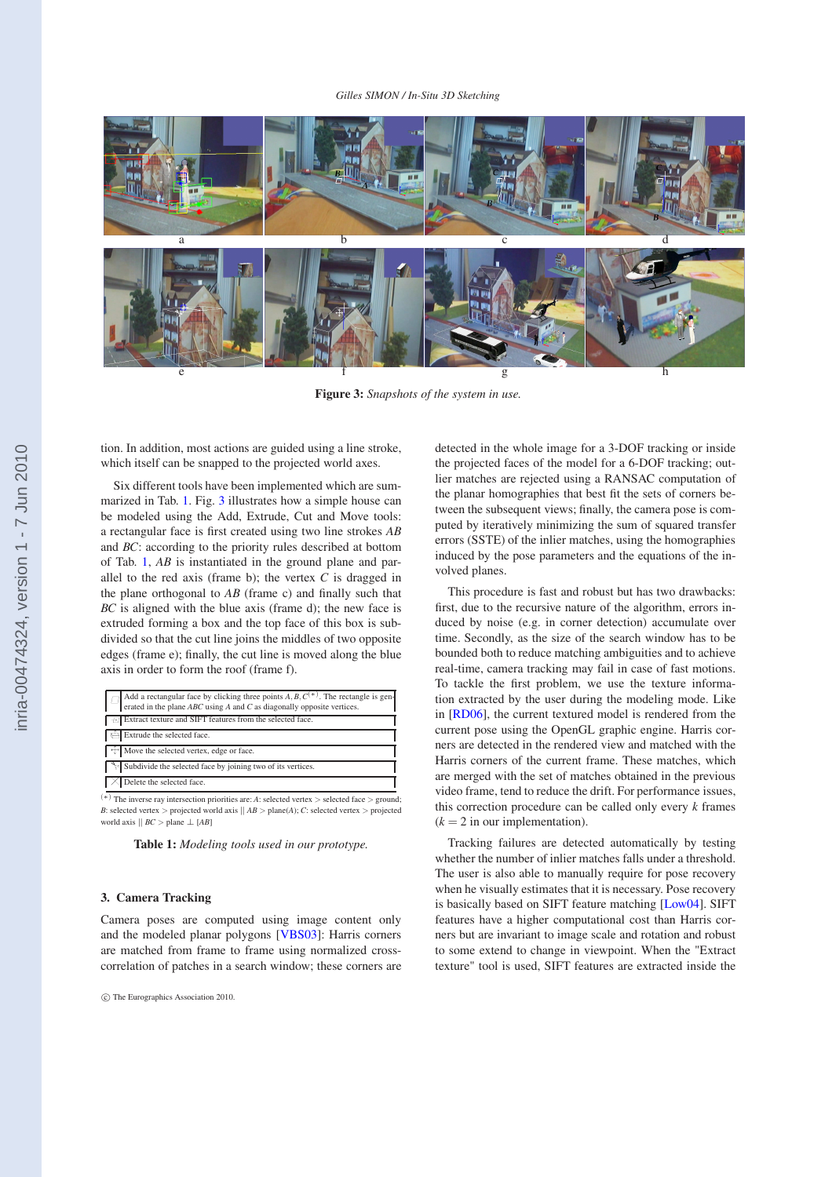<span id="page-2-0"></span>

**Figure 3:** *Snapshots of the system in use.*

tion. In addition, most actions are guided using a line stroke, which itself can be snapped to the projected world axes.

Six different tools have been implemented which are summarized in Tab. 1. Fig. 3 illustrates how a simple house can be modeled using the Add, Extrude, Cut and Move tools: a rectangular face is first created using two line strokes *AB* and *BC*: according to the priority rules described at bottom of Tab. 1, *AB* is instantiated in the ground plane and parallel to the red axis (frame b); the vertex *C* is dragged in the plane orthogonal to *AB* (frame c) and finally such that *BC* is aligned with the blue axis (frame d); the new face is extruded forming a box and the top face of this box is subdivided so that the cut line joins the middles of two opposite edges (frame e); finally, the cut line is moved along the blue axis in order to form the roof (frame f).

(∗) The inverse ray intersection priorities are: *<sup>A</sup>*: selected vertex <sup>&</sup>gt; selected face <sup>&</sup>gt; ground; *B*: selected vertex > projected world axis  $||AB>$  plane(*A*); *C*: selected vertex > projected world axis  $|| BC >$  plane  $\perp$  [*AB*]

| Table 1: Modeling tools used in our prototype. |  |  |  |
|------------------------------------------------|--|--|--|
|------------------------------------------------|--|--|--|

# **3. Camera Tracking**

Camera poses are computed using image content only and the modeled planar polygons [\[VBS03\]](#page-3-0): Harris corners are matched from frame to frame using normalized crosscorrelation of patches in a search window; these corners are

detected in the whole image for a 3-DOF tracking or inside the projected faces of the model for a 6-DOF tracking; outlier matches are rejected using a RANSAC computation of the planar homographies that best fit the sets of corners between the subsequent views; finally, the camera pose is computed by iteratively minimizing the sum of squared transfer errors (SSTE) of the inlier matches, using the homographies induced by the pose parameters and the equations of the involved planes.

This procedure is fast and robust but has two drawbacks: first, due to the recursive nature of the algorithm, errors induced by noise (e.g. in corner detection) accumulate over time. Secondly, as the size of the search window has to be bounded both to reduce matching ambiguities and to achieve real-time, camera tracking may fail in case of fast motions. To tackle the first problem, we use the texture information extracted by the user during the modeling mode. Like in [\[RD06\]](#page-3-0), the current textured model is rendered from the current pose using the OpenGL graphic engine. Harris corners are detected in the rendered view and matched with the Harris corners of the current frame. These matches, which are merged with the set of matches obtained in the previous video frame, tend to reduce the drift. For performance issues, this correction procedure can be called only every *k* frames  $(k = 2$  in our implementation).

Tracking failures are detected automatically by testing whether the number of inlier matches falls under a threshold. The user is also able to manually require for pose recovery when he visually estimates that it is necessary. Pose recovery is basically based on SIFT feature matching [\[Low04\]](#page-3-0). SIFT features have a higher computational cost than Harris corners but are invariant to image scale and rotation and robust to some extend to change in viewpoint. When the "Extract texture" tool is used, SIFT features are extracted inside the